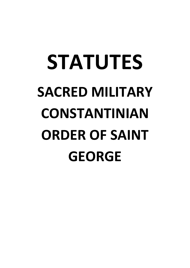# **STATUTES SACRED MILITARY CONSTANTINIAN ORDER OF SAINT GEORGE**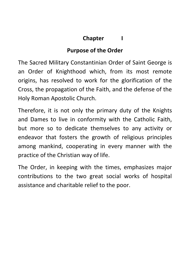# **Chapter I**

# **Purpose of the Order**

The Sacred Military Constantinian Order of Saint George is an Order of Knighthood which, from its most remote origins, has resolved to work for the glorification of the Cross, the propagation of the Faith, and the defense of the Holy Roman Apostolic Church.

Therefore, it is not only the primary duty of the Knights and Dames to live in conformity with the Catholic Faith, but more so to dedicate themselves to any activity or endeavor that fosters the growth of religious principles among mankind, cooperating in every manner with the practice of the Christian way of life.

The Order, in keeping with the times, emphasizes major contributions to the two great social works of hospital assistance and charitable relief to the poor.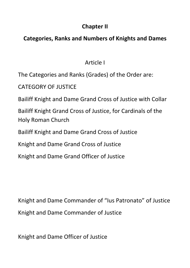# **Chapter II**

# **Categories, Ranks and Numbers of Knights and Dames**

# Article I

The Categories and Ranks (Grades) of the Order are:

CATEGORY OF JUSTICE

Bailiff Knight and Dame Grand Cross of Justice with Collar

Bailiff Knight Grand Cross of Justice, for Cardinals of the Holy Roman Church

Bailiff Knight and Dame Grand Cross of Justice

Knight and Dame Grand Cross of Justice

Knight and Dame Grand Officer of Justice

Knight and Dame Commander of "Ius Patronato" of Justice Knight and Dame Commander of Justice

Knight and Dame Officer of Justice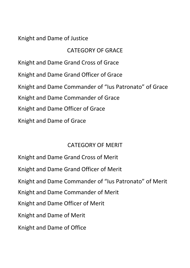## Knight and Dame of Justice

# CATEGORY OF GRACE

Knight and Dame Grand Cross of Grace Knight and Dame Grand Officer of Grace Knight and Dame Commander of "Ius Patronato" of Grace Knight and Dame Commander of Grace Knight and Dame Officer of Grace Knight and Dame of Grace

## CATEGORY OF MERIT

Knight and Dame Grand Cross of Merit Knight and Dame Grand Officer of Merit Knight and Dame Commander of "Ius Patronato" of Merit Knight and Dame Commander of Merit Knight and Dame Officer of Merit Knight and Dame of Merit Knight and Dame of Office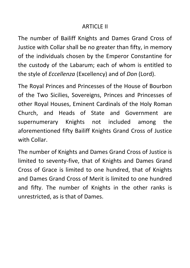#### ARTICLE II

The number of Bailiff Knights and Dames Grand Cross of Justice with Collar shall be no greater than fifty, in memory of the individuals chosen by the Emperor Constantine for the custody of the Labarum; each of whom is entitled to the style of *Eccellenza* (Excellency) and of *Don* (Lord).

The Royal Princes and Princesses of the House of Bourbon of the Two Sicilies, Sovereigns, Princes and Princesses of other Royal Houses, Eminent Cardinals of the Holy Roman Church, and Heads of State and Government are supernumerary Knights not included among the aforementioned fifty Bailiff Knights Grand Cross of Justice with Collar.

The number of Knights and Dames Grand Cross of Justice is limited to seventy-five, that of Knights and Dames Grand Cross of Grace is limited to one hundred, that of Knights and Dames Grand Cross of Merit is limited to one hundred and fifty. The number of Knights in the other ranks is unrestricted, as is that of Dames.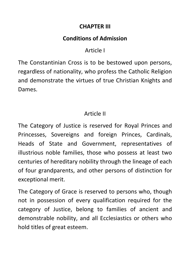#### **CHAPTER III**

# **Conditions of Admission**

# Article I

The Constantinian Cross is to be bestowed upon persons, regardless of nationality, who profess the Catholic Religion and demonstrate the virtues of true Christian Knights and Dames.

# Article II

The Category of Justice is reserved for Royal Princes and Princesses, Sovereigns and foreign Princes, Cardinals, Heads of State and Government, representatives of illustrious noble families, those who possess at least two centuries of hereditary nobility through the lineage of each of four grandparents, and other persons of distinction for exceptional merit.

The Category of Grace is reserved to persons who, though not in possession of every qualification required for the category of Justice, belong to families of ancient and demonstrable nobility, and all Ecclesiastics or others who hold titles of great esteem.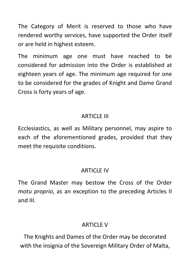The Category of Merit is reserved to those who have rendered worthy services, have supported the Order itself or are held in highest esteem.

The minimum age one must have reached to be considered for admission into the Order is established at eighteen years of age. The minimum age required for one to be considered for the grades of Knight and Dame Grand Cross is forty years of age.

# ARTICLE III

Ecclesiastics, as well as Military personnel, may aspire to each of the aforementioned grades, provided that they meet the requisite conditions.

# ARTICLE IV

The Grand Master may bestow the Cross of the Order *motu proprio*, as an exception to the preceding Articles II and III.

# **ARTICLE V**

The Knights and Dames of the Order may be decorated with the insignia of the Sovereign Military Order of Malta,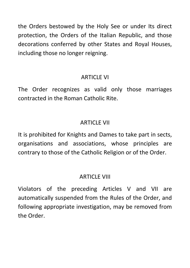the Orders bestowed by the Holy See or under Its direct protection, the Orders of the Italian Republic, and those decorations conferred by other States and Royal Houses, including those no longer reigning.

## ARTICLE VI

The Order recognizes as valid only those marriages contracted in the Roman Catholic Rite.

# ARTICLE VII

It is prohibited for Knights and Dames to take part in sects, organisations and associations, whose principles are contrary to those of the Catholic Religion or of the Order.

# ARTICLE VIII

Violators of the preceding Articles V and VII are automatically suspended from the Rules of the Order, and following appropriate investigation, may be removed from the Order.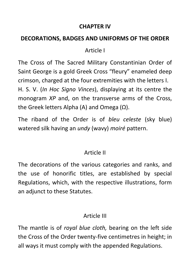#### **CHAPTER IV**

#### **DECORATIONS, BADGES AND UNIFORMS OF THE ORDER**

## Article I

The Cross of The Sacred Military Constantinian Order of Saint George is a gold Greek Cross "fleury" enameled deep crimson, charged at the four extremities with the letters I. H. S. V. (*In Hoc Signo Vinces*), displaying at its centre the monogram *XP* and, on the transverse arms of the Cross, the Greek letters Alpha (A) and Omega  $(\Omega)$ .

The riband of the Order is of *bleu celeste* (sky blue) watered silk having an *undy* (wavy) *moiré* pattern.

## Article II

The decorations of the various categories and ranks, and the use of honorific titles, are established by special Regulations, which, with the respective illustrations, form an adjunct to these Statutes.

# Article III

The mantle is of *royal blue cloth,* bearing on the left side the Cross of the Order twenty-five centimetres in height; in all ways it must comply with the appended Regulations.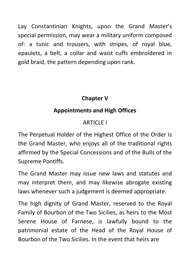Lay Constantinian Knights, upon the Grand Master's special permission, may wear a military uniform composed of: a tunic and trousers, with stripes, of royal blue, epaulets, a belt, a collar and waist cuffs embroidered in gold braid, the pattern depending upon rank.

# **Chapter V**

# **Appointments and High Offices**

# ARTICLE I

The Perpetual Holder of the Highest Office of the Order is the Grand Master, who enjoys all of the traditional rights affirmed by the Special Concessions and of the Bulls of the Supreme Pontiffs.

The Grand Master may issue new laws and statutes and may interpret them, and may likewise abrogate existing laws whenever such a judgement is deemed appropriate.

The high dignity of Grand Master, reserved to the Royal Family of Bourbon of the Two Sicilies, as heirs to the Most Serene House of Farnese, is lawfully bound to the patrimonial estate of the Head of the Royal House of Bourbon of the Two Sicilies. In the event that heirs are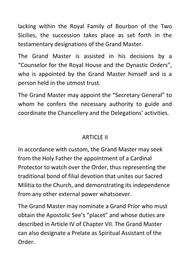lacking within the Royal Family of Bourbon of the Two Sicilies, the succession takes place as set forth in the testamentary designations of the Grand Master.

The Grand Master is assisted in his decisions by a "Counselor for the Royal House and the Dynastic Orders", who is appointed by the Grand Master himself and is a person held in the utmost trust.

The Grand Master may appoint the "Secretary General" to whom he confers the necessary authority to guide and coordinate the Chancellery and the Delegations' activities.

# ARTICLE II

In accordance with custom, the Grand Master may seek from the Holy Father the appointment of a Cardinal Protector to watch over the Order, thus representing the traditional bond of filial devotion that unites our Sacred Militia to the Church, and demonstrating its independence from any other external power whatsoever.

The Grand Master may nominate a Grand Prior who must obtain the Apostolic See's "placet" and whose duties are described in Article IV of Chapter VII. The Grand Master can also designate a Prelate as Spiritual Assistant of the Order.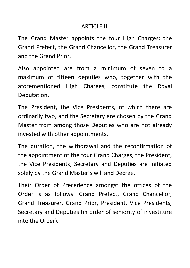#### ARTICLE III

The Grand Master appoints the four High Charges: the Grand Prefect, the Grand Chancellor, the Grand Treasurer and the Grand Prior.

Also appointed are from a minimum of seven to a maximum of fifteen deputies who, together with the aforementioned High Charges, constitute the Royal Deputation.

The President, the Vice Presidents, of which there are ordinarily two, and the Secretary are chosen by the Grand Master from among those Deputies who are not already invested with other appointments.

The duration, the withdrawal and the reconfirmation of the appointment of the four Grand Charges, the President, the Vice Presidents, Secretary and Deputies are initiated solely by the Grand Master's will and Decree.

Their Order of Precedence amongst the offices of the Order is as follows: Grand Prefect, Grand Chancellor, Grand Treasurer, Grand Prior, President, Vice Presidents, Secretary and Deputies (in order of seniority of investiture into the Order).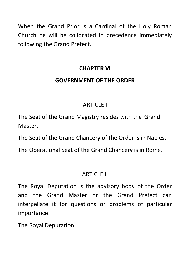When the Grand Prior is a Cardinal of the Holy Roman Church he will be collocated in precedence immediately following the Grand Prefect.

# **CHAPTER VI**

## **GOVERNMENT OF THE ORDER**

# ARTICLE I

The Seat of the Grand Magistry resides with the Grand Master.

The Seat of the Grand Chancery of the Order is in Naples.

The Operational Seat of the Grand Chancery is in Rome.

# ARTICLE II

The Royal Deputation is the advisory body of the Order and the Grand Master or the Grand Prefect can interpellate it for questions or problems of particular importance.

The Royal Deputation: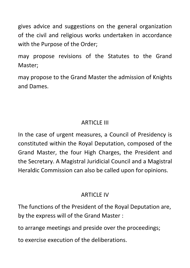gives advice and suggestions on the general organization of the civil and religious works undertaken in accordance with the Purpose of the Order;

may propose revisions of the Statutes to the Grand Master;

may propose to the Grand Master the admission of Knights and Dames.

# ARTICLE III

In the case of urgent measures, a Council of Presidency is constituted within the Royal Deputation, composed of the Grand Master, the four High Charges, the President and the Secretary. A Magistral Juridicial Council and a Magistral Heraldic Commission can also be called upon for opinions.

# ARTICLE IV

The functions of the President of the Royal Deputation are, by the express will of the Grand Master :

to arrange meetings and preside over the proceedings;

to exercise execution of the deliberations.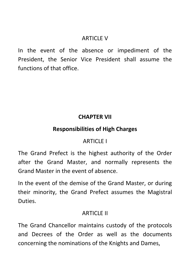#### **ARTICLE V**

In the event of the absence or impediment of the President, the Senior Vice President shall assume the functions of that office.

## **CHAPTER VII**

#### **Responsibilities of High Charges**

## ARTICLE I

The Grand Prefect is the highest authority of the Order after the Grand Master, and normally represents the Grand Master in the event of absence.

In the event of the demise of the Grand Master, or during their minority, the Grand Prefect assumes the Magistral Duties.

#### ARTICLE II

The Grand Chancellor maintains custody of the protocols and Decrees of the Order as well as the documents concerning the nominations of the Knights and Dames,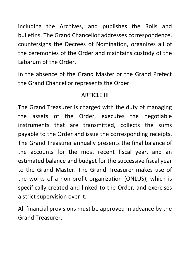including the Archives, and publishes the Rolls and bulletins. The Grand Chancellor addresses correspondence, countersigns the Decrees of Nomination, organizes all of the ceremonies of the Order and maintains custody of the Labarum of the Order.

In the absence of the Grand Master or the Grand Prefect the Grand Chancellor represents the Order.

# ARTICLE III

The Grand Treasurer is charged with the duty of managing the assets of the Order, executes the negotiable instruments that are transmitted, collects the sums payable to the Order and issue the corresponding receipts. The Grand Treasurer annually presents the final balance of the accounts for the most recent fiscal year, and an estimated balance and budget for the successive fiscal year to the Grand Master. The Grand Treasurer makes use of the works of a non-profit organization (ONLUS), which is specifically created and linked to the Order, and exercises a strict supervision over it.

All financial provisions must be approved in advance by the Grand Treasurer.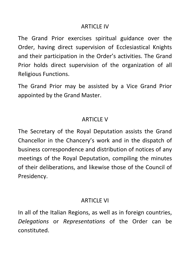#### **ARTICLE IV**

The Grand Prior exercises spiritual guidance over the Order, having direct supervision of Ecclesiastical Knights and their participation in the Order's activities. The Grand Prior holds direct supervision of the organization of all Religious Functions.

The Grand Prior may be assisted by a Vice Grand Prior appointed by the Grand Master.

# ARTICLE V

The Secretary of the Royal Deputation assists the Grand Chancellor in the Chancery's work and in the dispatch of business correspondence and distribution of notices of any meetings of the Royal Deputation, compiling the minutes of their deliberations, and likewise those of the Council of Presidency.

## ARTICLE VI

In all of the Italian Regions, as well as in foreign countries, *Delegations* or *Representations* of the Order can be constituted.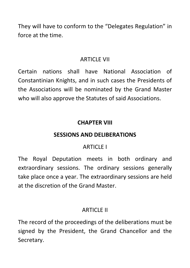They will have to conform to the "Delegates Regulation" in force at the time.

## ARTICLE VII

Certain nations shall have National Association of Constantinian Knights, and in such cases the Presidents of the Associations will be nominated by the Grand Master who will also approve the Statutes of said Associations.

# **CHAPTER VIII**

# **SESSIONS AND DELIBERATIONS**

# **ARTICLE I**

The Royal Deputation meets in both ordinary and extraordinary sessions. The ordinary sessions generally take place once a year. The extraordinary sessions are held at the discretion of the Grand Master.

# ARTICLE II

The record of the proceedings of the deliberations must be signed by the President, the Grand Chancellor and the Secretary.